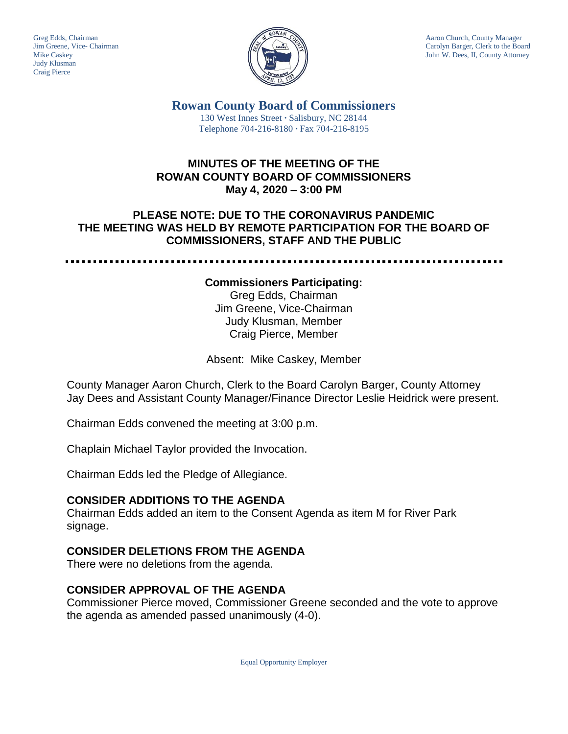Judy Klusman Craig Pierce



Greg Edds, Chairman Aaron Church, County Manager<br>Jim Greene, Vice- Chairman Aaron Church, County Manager<br>Carolyn Barger, Clerk to the Boa Carolyn Barger, Clerk to the Board Mike Caskey John W. Dees, II, County Attorney

> **Rowan County Board of Commissioners** 130 West Innes Street **∙** Salisbury, NC 28144 Telephone 704-216-8180 **∙** Fax 704-216-8195

### **MINUTES OF THE MEETING OF THE ROWAN COUNTY BOARD OF COMMISSIONERS May 4, 2020 – 3:00 PM**

## **PLEASE NOTE: DUE TO THE CORONAVIRUS PANDEMIC THE MEETING WAS HELD BY REMOTE PARTICIPATION FOR THE BOARD OF COMMISSIONERS, STAFF AND THE PUBLIC**

#### **Commissioners Participating:**

Greg Edds, Chairman Jim Greene, Vice-Chairman Judy Klusman, Member Craig Pierce, Member

Absent: Mike Caskey, Member

County Manager Aaron Church, Clerk to the Board Carolyn Barger, County Attorney Jay Dees and Assistant County Manager/Finance Director Leslie Heidrick were present.

Chairman Edds convened the meeting at 3:00 p.m.

Chaplain Michael Taylor provided the Invocation.

Chairman Edds led the Pledge of Allegiance.

#### **CONSIDER ADDITIONS TO THE AGENDA**

Chairman Edds added an item to the Consent Agenda as item M for River Park signage.

#### **CONSIDER DELETIONS FROM THE AGENDA**

There were no deletions from the agenda.

#### **CONSIDER APPROVAL OF THE AGENDA**

Commissioner Pierce moved, Commissioner Greene seconded and the vote to approve the agenda as amended passed unanimously (4-0).

Equal Opportunity Employer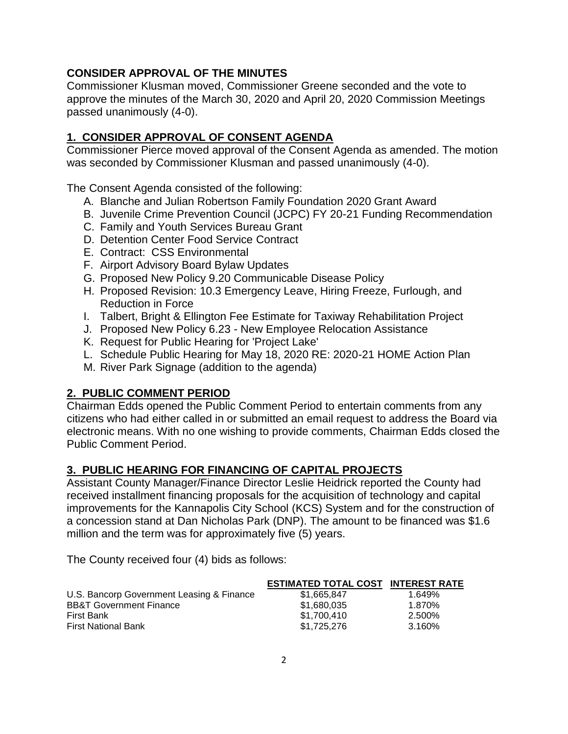## **CONSIDER APPROVAL OF THE MINUTES**

Commissioner Klusman moved, Commissioner Greene seconded and the vote to approve the minutes of the March 30, 2020 and April 20, 2020 Commission Meetings passed unanimously (4-0).

# **1. CONSIDER APPROVAL OF CONSENT AGENDA**

Commissioner Pierce moved approval of the Consent Agenda as amended. The motion was seconded by Commissioner Klusman and passed unanimously (4-0).

The Consent Agenda consisted of the following:

- A. Blanche and Julian Robertson Family Foundation 2020 Grant Award
- B. Juvenile Crime Prevention Council (JCPC) FY 20-21 Funding Recommendation
- C. Family and Youth Services Bureau Grant
- D. Detention Center Food Service Contract
- E. Contract: CSS Environmental
- F. Airport Advisory Board Bylaw Updates
- G. Proposed New Policy 9.20 Communicable Disease Policy
- H. Proposed Revision: 10.3 Emergency Leave, Hiring Freeze, Furlough, and Reduction in Force
- I. Talbert, Bright & Ellington Fee Estimate for Taxiway Rehabilitation Project
- J. Proposed New Policy 6.23 New Employee Relocation Assistance
- K. Request for Public Hearing for 'Project Lake'
- L. Schedule Public Hearing for May 18, 2020 RE: 2020-21 HOME Action Plan
- M. River Park Signage (addition to the agenda)

## **2. PUBLIC COMMENT PERIOD**

Chairman Edds opened the Public Comment Period to entertain comments from any citizens who had either called in or submitted an email request to address the Board via electronic means. With no one wishing to provide comments, Chairman Edds closed the Public Comment Period.

## **3. PUBLIC HEARING FOR FINANCING OF CAPITAL PROJECTS**

Assistant County Manager/Finance Director Leslie Heidrick reported the County had received installment financing proposals for the acquisition of technology and capital improvements for the Kannapolis City School (KCS) System and for the construction of a concession stand at Dan Nicholas Park (DNP). The amount to be financed was \$1.6 million and the term was for approximately five (5) years.

The County received four (4) bids as follows:

|                                           | <b>ESTIMATED TOTAL COST INTEREST RATE</b> |        |
|-------------------------------------------|-------------------------------------------|--------|
| U.S. Bancorp Government Leasing & Finance | \$1.665.847                               | 1.649% |
| <b>BB&amp;T Government Finance</b>        | \$1.680.035                               | 1.870% |
| First Bank                                | \$1,700,410                               | 2.500% |
| <b>First National Bank</b>                | \$1,725,276                               | 3.160% |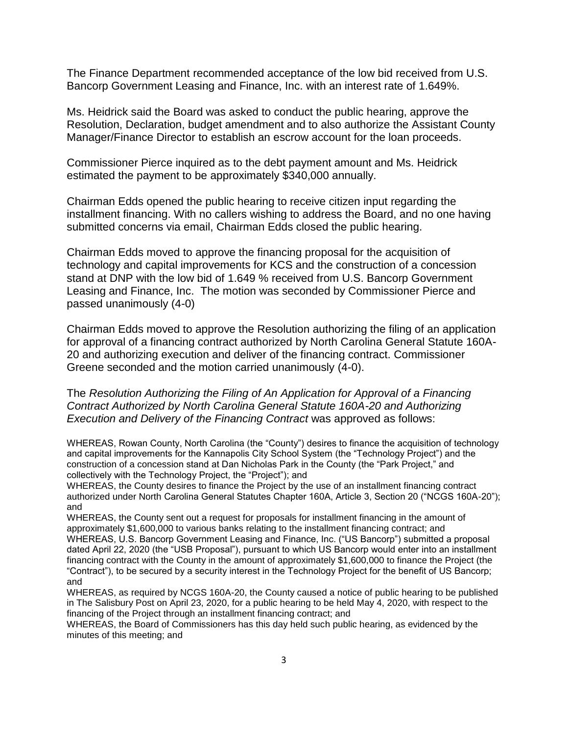The Finance Department recommended acceptance of the low bid received from U.S. Bancorp Government Leasing and Finance, Inc. with an interest rate of 1.649%.

Ms. Heidrick said the Board was asked to conduct the public hearing, approve the Resolution, Declaration, budget amendment and to also authorize the Assistant County Manager/Finance Director to establish an escrow account for the loan proceeds.

Commissioner Pierce inquired as to the debt payment amount and Ms. Heidrick estimated the payment to be approximately \$340,000 annually.

Chairman Edds opened the public hearing to receive citizen input regarding the installment financing. With no callers wishing to address the Board, and no one having submitted concerns via email, Chairman Edds closed the public hearing.

Chairman Edds moved to approve the financing proposal for the acquisition of technology and capital improvements for KCS and the construction of a concession stand at DNP with the low bid of 1.649 % received from U.S. Bancorp Government Leasing and Finance, Inc. The motion was seconded by Commissioner Pierce and passed unanimously (4-0)

Chairman Edds moved to approve the Resolution authorizing the filing of an application for approval of a financing contract authorized by North Carolina General Statute 160A-20 and authorizing execution and deliver of the financing contract. Commissioner Greene seconded and the motion carried unanimously (4-0).

The *Resolution Authorizing the Filing of An Application for Approval of a Financing Contract Authorized by North Carolina General Statute 160A-20 and Authorizing Execution and Delivery of the Financing Contract* was approved as follows:

WHEREAS, Rowan County, North Carolina (the "County") desires to finance the acquisition of technology and capital improvements for the Kannapolis City School System (the "Technology Project") and the construction of a concession stand at Dan Nicholas Park in the County (the "Park Project," and collectively with the Technology Project, the "Project"); and

WHEREAS, the County desires to finance the Project by the use of an installment financing contract authorized under North Carolina General Statutes Chapter 160A, Article 3, Section 20 ("NCGS 160A-20"); and

WHEREAS, the County sent out a request for proposals for installment financing in the amount of approximately \$1,600,000 to various banks relating to the installment financing contract; and WHEREAS, U.S. Bancorp Government Leasing and Finance, Inc. ("US Bancorp") submitted a proposal dated April 22, 2020 (the "USB Proposal"), pursuant to which US Bancorp would enter into an installment financing contract with the County in the amount of approximately \$1,600,000 to finance the Project (the "Contract"), to be secured by a security interest in the Technology Project for the benefit of US Bancorp; and

WHEREAS, as required by NCGS 160A-20, the County caused a notice of public hearing to be published in The Salisbury Post on April 23, 2020, for a public hearing to be held May 4, 2020, with respect to the financing of the Project through an installment financing contract; and

WHEREAS, the Board of Commissioners has this day held such public hearing, as evidenced by the minutes of this meeting; and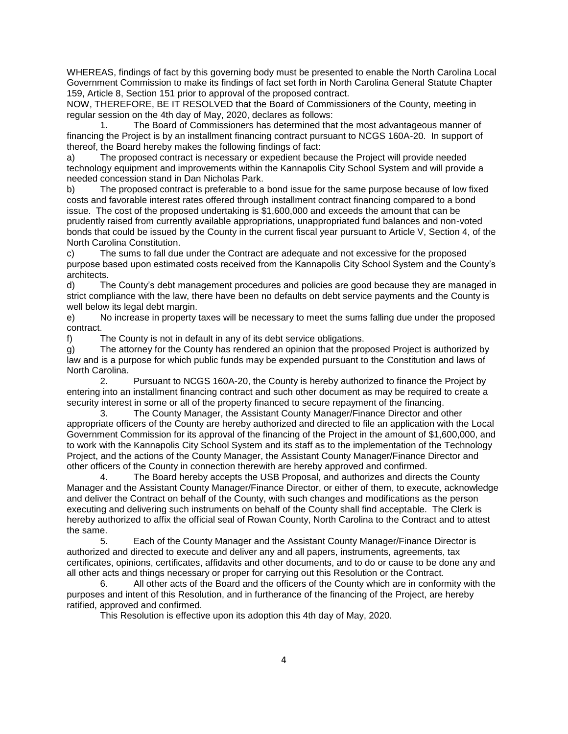WHEREAS, findings of fact by this governing body must be presented to enable the North Carolina Local Government Commission to make its findings of fact set forth in North Carolina General Statute Chapter 159, Article 8, Section 151 prior to approval of the proposed contract.

NOW, THEREFORE, BE IT RESOLVED that the Board of Commissioners of the County, meeting in regular session on the 4th day of May, 2020, declares as follows:

1. The Board of Commissioners has determined that the most advantageous manner of financing the Project is by an installment financing contract pursuant to NCGS 160A-20. In support of thereof, the Board hereby makes the following findings of fact:

a) The proposed contract is necessary or expedient because the Project will provide needed technology equipment and improvements within the Kannapolis City School System and will provide a needed concession stand in Dan Nicholas Park.

b) The proposed contract is preferable to a bond issue for the same purpose because of low fixed costs and favorable interest rates offered through installment contract financing compared to a bond issue. The cost of the proposed undertaking is \$1,600,000 and exceeds the amount that can be prudently raised from currently available appropriations, unappropriated fund balances and non-voted bonds that could be issued by the County in the current fiscal year pursuant to Article V, Section 4, of the North Carolina Constitution.

c) The sums to fall due under the Contract are adequate and not excessive for the proposed purpose based upon estimated costs received from the Kannapolis City School System and the County's architects.

d) The County's debt management procedures and policies are good because they are managed in strict compliance with the law, there have been no defaults on debt service payments and the County is well below its legal debt margin.

e) No increase in property taxes will be necessary to meet the sums falling due under the proposed contract.

f) The County is not in default in any of its debt service obligations.

g) The attorney for the County has rendered an opinion that the proposed Project is authorized by law and is a purpose for which public funds may be expended pursuant to the Constitution and laws of North Carolina.

2. Pursuant to NCGS 160A-20, the County is hereby authorized to finance the Project by entering into an installment financing contract and such other document as may be required to create a security interest in some or all of the property financed to secure repayment of the financing.

3. The County Manager, the Assistant County Manager/Finance Director and other appropriate officers of the County are hereby authorized and directed to file an application with the Local Government Commission for its approval of the financing of the Project in the amount of \$1,600,000, and to work with the Kannapolis City School System and its staff as to the implementation of the Technology Project, and the actions of the County Manager, the Assistant County Manager/Finance Director and other officers of the County in connection therewith are hereby approved and confirmed.

4. The Board hereby accepts the USB Proposal, and authorizes and directs the County Manager and the Assistant County Manager/Finance Director, or either of them, to execute, acknowledge and deliver the Contract on behalf of the County, with such changes and modifications as the person executing and delivering such instruments on behalf of the County shall find acceptable. The Clerk is hereby authorized to affix the official seal of Rowan County, North Carolina to the Contract and to attest the same.

5. Each of the County Manager and the Assistant County Manager/Finance Director is authorized and directed to execute and deliver any and all papers, instruments, agreements, tax certificates, opinions, certificates, affidavits and other documents, and to do or cause to be done any and all other acts and things necessary or proper for carrying out this Resolution or the Contract.

6. All other acts of the Board and the officers of the County which are in conformity with the purposes and intent of this Resolution, and in furtherance of the financing of the Project, are hereby ratified, approved and confirmed.

This Resolution is effective upon its adoption this 4th day of May, 2020.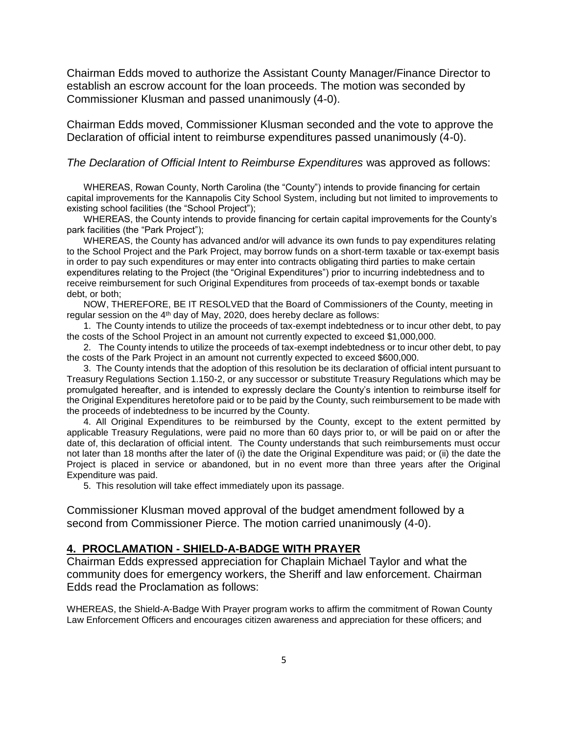Chairman Edds moved to authorize the Assistant County Manager/Finance Director to establish an escrow account for the loan proceeds. The motion was seconded by Commissioner Klusman and passed unanimously (4-0).

Chairman Edds moved, Commissioner Klusman seconded and the vote to approve the Declaration of official intent to reimburse expenditures passed unanimously (4-0).

#### *The Declaration of Official Intent to Reimburse Expenditures* was approved as follows:

WHEREAS, Rowan County, North Carolina (the "County") intends to provide financing for certain capital improvements for the Kannapolis City School System, including but not limited to improvements to existing school facilities (the "School Project");

WHEREAS, the County intends to provide financing for certain capital improvements for the County's park facilities (the "Park Project");

WHEREAS, the County has advanced and/or will advance its own funds to pay expenditures relating to the School Project and the Park Project, may borrow funds on a short-term taxable or tax-exempt basis in order to pay such expenditures or may enter into contracts obligating third parties to make certain expenditures relating to the Project (the "Original Expenditures") prior to incurring indebtedness and to receive reimbursement for such Original Expenditures from proceeds of tax-exempt bonds or taxable debt, or both;

NOW, THEREFORE, BE IT RESOLVED that the Board of Commissioners of the County, meeting in regular session on the 4<sup>th</sup> day of May, 2020, does hereby declare as follows:

1. The County intends to utilize the proceeds of tax-exempt indebtedness or to incur other debt, to pay the costs of the School Project in an amount not currently expected to exceed \$1,000,000.

2. The County intends to utilize the proceeds of tax-exempt indebtedness or to incur other debt, to pay the costs of the Park Project in an amount not currently expected to exceed \$600,000.

3. The County intends that the adoption of this resolution be its declaration of official intent pursuant to Treasury Regulations Section 1.150-2, or any successor or substitute Treasury Regulations which may be promulgated hereafter, and is intended to expressly declare the County's intention to reimburse itself for the Original Expenditures heretofore paid or to be paid by the County, such reimbursement to be made with the proceeds of indebtedness to be incurred by the County.

4. All Original Expenditures to be reimbursed by the County, except to the extent permitted by applicable Treasury Regulations, were paid no more than 60 days prior to, or will be paid on or after the date of, this declaration of official intent. The County understands that such reimbursements must occur not later than 18 months after the later of (i) the date the Original Expenditure was paid; or (ii) the date the Project is placed in service or abandoned, but in no event more than three years after the Original Expenditure was paid.

5. This resolution will take effect immediately upon its passage.

Commissioner Klusman moved approval of the budget amendment followed by a second from Commissioner Pierce. The motion carried unanimously (4-0).

#### **4. PROCLAMATION - SHIELD-A-BADGE WITH PRAYER**

Chairman Edds expressed appreciation for Chaplain Michael Taylor and what the community does for emergency workers, the Sheriff and law enforcement. Chairman Edds read the Proclamation as follows:

WHEREAS, the Shield-A-Badge With Prayer program works to affirm the commitment of Rowan County Law Enforcement Officers and encourages citizen awareness and appreciation for these officers; and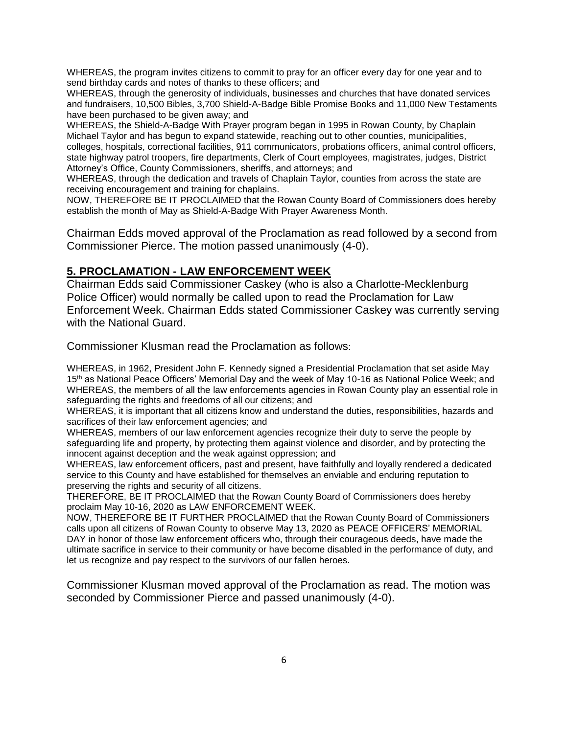WHEREAS, the program invites citizens to commit to pray for an officer every day for one year and to send birthday cards and notes of thanks to these officers; and

WHEREAS, through the generosity of individuals, businesses and churches that have donated services and fundraisers, 10,500 Bibles, 3,700 Shield-A-Badge Bible Promise Books and 11,000 New Testaments have been purchased to be given away; and

WHEREAS, the Shield-A-Badge With Prayer program began in 1995 in Rowan County, by Chaplain Michael Taylor and has begun to expand statewide, reaching out to other counties, municipalities, colleges, hospitals, correctional facilities, 911 communicators, probations officers, animal control officers, state highway patrol troopers, fire departments, Clerk of Court employees, magistrates, judges, District Attorney's Office, County Commissioners, sheriffs, and attorneys; and

WHEREAS, through the dedication and travels of Chaplain Taylor, counties from across the state are receiving encouragement and training for chaplains.

NOW, THEREFORE BE IT PROCLAIMED that the Rowan County Board of Commissioners does hereby establish the month of May as Shield-A-Badge With Prayer Awareness Month.

Chairman Edds moved approval of the Proclamation as read followed by a second from Commissioner Pierce. The motion passed unanimously (4-0).

#### **5. PROCLAMATION - LAW ENFORCEMENT WEEK**

Chairman Edds said Commissioner Caskey (who is also a Charlotte-Mecklenburg Police Officer) would normally be called upon to read the Proclamation for Law Enforcement Week. Chairman Edds stated Commissioner Caskey was currently serving with the National Guard.

Commissioner Klusman read the Proclamation as follows:

WHEREAS, in 1962, President John F. Kennedy signed a Presidential Proclamation that set aside May 15<sup>th</sup> as National Peace Officers' Memorial Day and the week of May 10-16 as National Police Week; and WHEREAS, the members of all the law enforcements agencies in Rowan County play an essential role in safeguarding the rights and freedoms of all our citizens; and

WHEREAS, it is important that all citizens know and understand the duties, responsibilities, hazards and sacrifices of their law enforcement agencies; and

WHEREAS, members of our law enforcement agencies recognize their duty to serve the people by safeguarding life and property, by protecting them against violence and disorder, and by protecting the innocent against deception and the weak against oppression; and

WHEREAS, law enforcement officers, past and present, have faithfully and loyally rendered a dedicated service to this County and have established for themselves an enviable and enduring reputation to preserving the rights and security of all citizens.

THEREFORE, BE IT PROCLAIMED that the Rowan County Board of Commissioners does hereby proclaim May 10-16, 2020 as LAW ENFORCEMENT WEEK.

NOW, THEREFORE BE IT FURTHER PROCLAIMED that the Rowan County Board of Commissioners calls upon all citizens of Rowan County to observe May 13, 2020 as PEACE OFFICERS' MEMORIAL DAY in honor of those law enforcement officers who, through their courageous deeds, have made the ultimate sacrifice in service to their community or have become disabled in the performance of duty, and let us recognize and pay respect to the survivors of our fallen heroes.

Commissioner Klusman moved approval of the Proclamation as read. The motion was seconded by Commissioner Pierce and passed unanimously (4-0).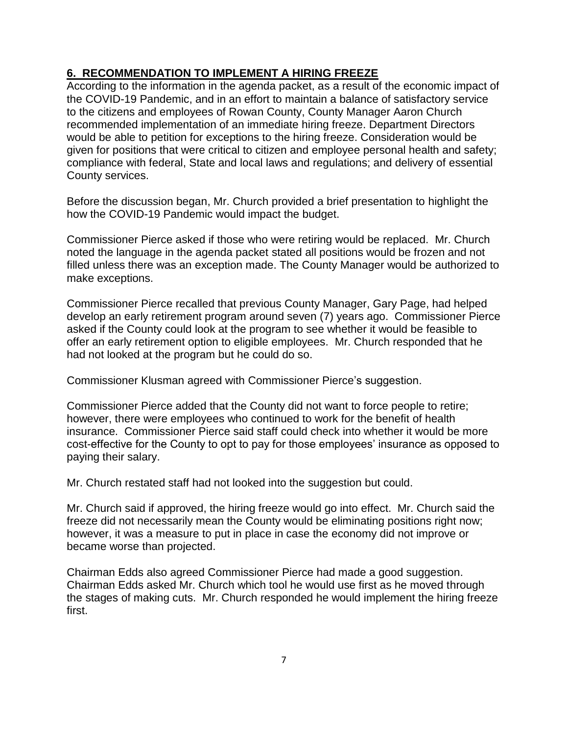## **6. RECOMMENDATION TO IMPLEMENT A HIRING FREEZE**

According to the information in the agenda packet, as a result of the economic impact of the COVID-19 Pandemic, and in an effort to maintain a balance of satisfactory service to the citizens and employees of Rowan County, County Manager Aaron Church recommended implementation of an immediate hiring freeze. Department Directors would be able to petition for exceptions to the hiring freeze. Consideration would be given for positions that were critical to citizen and employee personal health and safety; compliance with federal, State and local laws and regulations; and delivery of essential County services.

Before the discussion began, Mr. Church provided a brief presentation to highlight the how the COVID-19 Pandemic would impact the budget.

Commissioner Pierce asked if those who were retiring would be replaced. Mr. Church noted the language in the agenda packet stated all positions would be frozen and not filled unless there was an exception made. The County Manager would be authorized to make exceptions.

Commissioner Pierce recalled that previous County Manager, Gary Page, had helped develop an early retirement program around seven (7) years ago. Commissioner Pierce asked if the County could look at the program to see whether it would be feasible to offer an early retirement option to eligible employees. Mr. Church responded that he had not looked at the program but he could do so.

Commissioner Klusman agreed with Commissioner Pierce's suggestion.

Commissioner Pierce added that the County did not want to force people to retire; however, there were employees who continued to work for the benefit of health insurance. Commissioner Pierce said staff could check into whether it would be more cost-effective for the County to opt to pay for those employees' insurance as opposed to paying their salary.

Mr. Church restated staff had not looked into the suggestion but could.

Mr. Church said if approved, the hiring freeze would go into effect. Mr. Church said the freeze did not necessarily mean the County would be eliminating positions right now; however, it was a measure to put in place in case the economy did not improve or became worse than projected.

Chairman Edds also agreed Commissioner Pierce had made a good suggestion. Chairman Edds asked Mr. Church which tool he would use first as he moved through the stages of making cuts. Mr. Church responded he would implement the hiring freeze first.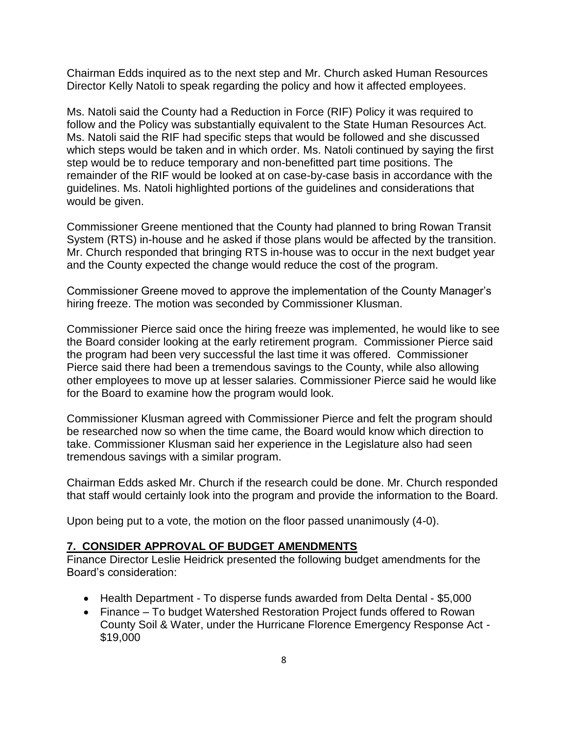Chairman Edds inquired as to the next step and Mr. Church asked Human Resources Director Kelly Natoli to speak regarding the policy and how it affected employees.

Ms. Natoli said the County had a Reduction in Force (RIF) Policy it was required to follow and the Policy was substantially equivalent to the State Human Resources Act. Ms. Natoli said the RIF had specific steps that would be followed and she discussed which steps would be taken and in which order. Ms. Natoli continued by saying the first step would be to reduce temporary and non-benefitted part time positions. The remainder of the RIF would be looked at on case-by-case basis in accordance with the guidelines. Ms. Natoli highlighted portions of the guidelines and considerations that would be given.

Commissioner Greene mentioned that the County had planned to bring Rowan Transit System (RTS) in-house and he asked if those plans would be affected by the transition. Mr. Church responded that bringing RTS in-house was to occur in the next budget year and the County expected the change would reduce the cost of the program.

Commissioner Greene moved to approve the implementation of the County Manager's hiring freeze. The motion was seconded by Commissioner Klusman.

Commissioner Pierce said once the hiring freeze was implemented, he would like to see the Board consider looking at the early retirement program. Commissioner Pierce said the program had been very successful the last time it was offered. Commissioner Pierce said there had been a tremendous savings to the County, while also allowing other employees to move up at lesser salaries. Commissioner Pierce said he would like for the Board to examine how the program would look.

Commissioner Klusman agreed with Commissioner Pierce and felt the program should be researched now so when the time came, the Board would know which direction to take. Commissioner Klusman said her experience in the Legislature also had seen tremendous savings with a similar program.

Chairman Edds asked Mr. Church if the research could be done. Mr. Church responded that staff would certainly look into the program and provide the information to the Board.

Upon being put to a vote, the motion on the floor passed unanimously (4-0).

#### **7. CONSIDER APPROVAL OF BUDGET AMENDMENTS**

Finance Director Leslie Heidrick presented the following budget amendments for the Board's consideration:

- Health Department To disperse funds awarded from Delta Dental \$5,000
- Finance To budget Watershed Restoration Project funds offered to Rowan County Soil & Water, under the Hurricane Florence Emergency Response Act - \$19,000